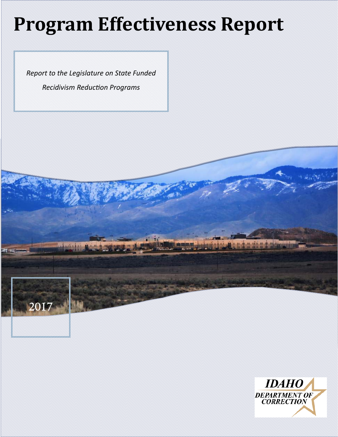# **Program Effectiveness Report**

*Report to the Legislature on State Funded Recidivism ReducƟon Programs*



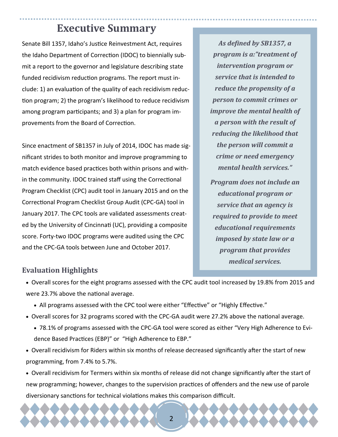### **Executive Summary**

Senate Bill 1357, Idaho's Justice Reinvestment Act, requires the Idaho Department of Correction (IDOC) to biennially submit a report to the governor and legislature describing state funded recidivism reduction programs. The report must include: 1) an evaluation of the quality of each recidivism reduction program; 2) the program's likelihood to reduce recidivism among program participants; and 3) a plan for program improvements from the Board of Correction.

Since enactment of SB1357 in July of 2014, IDOC has made significant strides to both monitor and improve programming to match evidence based practices both within prisons and within the community. IDOC trained staff using the Correctional Program Checklist (CPC) audit tool in January 2015 and on the Correctional Program Checklist Group Audit (CPC-GA) tool in January 2017. The CPC tools are validated assessments created by the University of Cincinnati (UC), providing a composite score. Forty-two IDOC programs were audited using the CPC and the CPC-GA tools between June and October 2017.

*As deϔined by SB1357, a program is a:"treatment of intervention program or service that is intended to reduce the propensity of a person to commit crimes or improve the mental health of a person with the result of reducing the likelihood that the person will commit a crime or need emergency mental health services." Program does not include an educational program or service that an agency is*

*required to provide to meet educational requirements imposed by state law or a program that provides medical services.*

#### **Evaluation Highlights**

- Overall scores for the eight programs assessed with the CPC audit tool increased by 19.8% from 2015 and were 23.7% above the national average.
	- All programs assessed with the CPC tool were either "Effective" or "Highly Effective."
- Overall scores for 32 programs scored with the CPC-GA audit were 27.2% above the national average.
	- 78.1% of programs assessed with the CPC-GA tool were scored as either "Very High Adherence to Evidence Based Practices (EBP)" or "High Adherence to EBP."
- Overall recidivism for Riders within six months of release decreased significantly after the start of new programming, from 7.4% to 5.7%.
- Overall recidivism for Termers within six months of release did not change significantly after the start of new programming; however, changes to the supervision practices of offenders and the new use of parole diversionary sanctions for technical violations makes this comparison difficult.

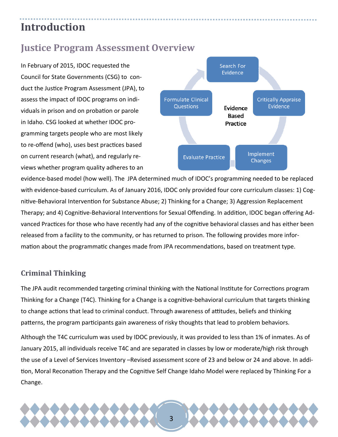### **Introduction**

### **Justice Program Assessment Overview**

In February of 2015, IDOC requested the Council for State Governments (CSG) to conduct the Justice Program Assessment (JPA), to assess the impact of IDOC programs on individuals in prison and on probation or parole in Idaho. CSG looked at whether IDOC programming targets people who are most likely to re-offend (who), uses best practices based on current research (what), and regularly reviews whether program quality adheres to an



evidence-based model (how well). The JPA determined much of IDOC's programming needed to be replaced with evidence-based curriculum. As of January 2016, IDOC only provided four core curriculum classes: 1) Cognitive-Behavioral Intervention for Substance Abuse; 2) Thinking for a Change; 3) Aggression Replacement Therapy; and 4) Cognitive-Behavioral Interventions for Sexual Offending. In addition, IDOC began offering Advanced Practices for those who have recently had any of the cognitive behavioral classes and has either been released from a facility to the community, or has returned to prison. The following provides more information about the programmatic changes made from JPA recommendations, based on treatment type.

#### **Criminal Thinking**

The JPA audit recommended targeting criminal thinking with the National Institute for Corrections program Thinking for a Change (T4C). Thinking for a Change is a cognitive-behavioral curriculum that targets thinking to change actions that lead to criminal conduct. Through awareness of attitudes, beliefs and thinking patterns, the program participants gain awareness of risky thoughts that lead to problem behaviors.

Although the T4C curriculum was used by IDOC previously, it was provided to less than 1% of inmates. As of January 2015, all individuals receive T4C and are separated in classes by low or moderate/high risk through the use of a Level of Services Inventory –Revised assessment score of 23 and below or 24 and above. In addition, Moral Reconation Therapy and the Cognitive Self Change Idaho Model were replaced by Thinking For a Change.

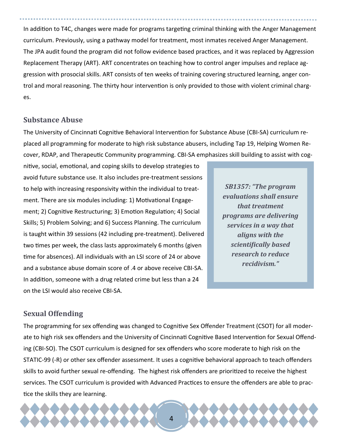In addition to T4C, changes were made for programs targeting criminal thinking with the Anger Management curriculum. Previously, using a pathway model for treatment, most inmates received Anger Management. The JPA audit found the program did not follow evidence based practices, and it was replaced by Aggression Replacement Therapy (ART). ART concentrates on teaching how to control anger impulses and replace aggression with prosocial skills. ART consists of ten weeks of training covering structured learning, anger control and moral reasoning. The thirty hour intervention is only provided to those with violent criminal charges.

#### **Substance Abuse**

The University of Cincinnati Cognitive Behavioral Intervention for Substance Abuse (CBI-SA) curriculum replaced all programming for moderate to high risk substance abusers, including Tap 19, Helping Women Recover, RDAP, and Therapeutic Community programming. CBI-SA emphasizes skill building to assist with cog-

nitive, social, emotional, and coping skills to develop strategies to avoid future substance use. It also includes pre-treatment sessions to help with increasing responsivity within the individual to treatment. There are six modules including: 1) Motivational Engagement; 2) Cognitive Restructuring; 3) Emotion Regulation; 4) Social Skills; 5) Problem Solving; and 6) Success Planning. The curriculum is taught within 39 sessions (42 including pre-treatment). Delivered two times per week, the class lasts approximately 6 months (given time for absences). All individuals with an LSI score of 24 or above and a substance abuse domain score of .4 or above receive CBI-SA. In addition, someone with a drug related crime but less than a 24 on the LSI would also receive CBI-SA.

*SB1357: "The program evaluations shall ensure that treatment programs are delivering services in a way that aligns with the scientiϔically based research to reduce recidivism."*

#### **Sexual Offending**

The programming for sex offending was changed to Cognitive Sex Offender Treatment (CSOT) for all moderate to high risk sex offenders and the University of Cincinnati Cognitive Based Intervention for Sexual Offending (CBI-SO). The CSOT curriculum is designed for sex offenders who score moderate to high risk on the STATIC-99 (-R) or other sex offender assessment. It uses a cognitive behavioral approach to teach offenders skills to avoid further sexual re-offending. The highest risk offenders are prioritized to receive the highest services. The CSOT curriculum is provided with Advanced Practices to ensure the offenders are able to practice the skills they are learning.

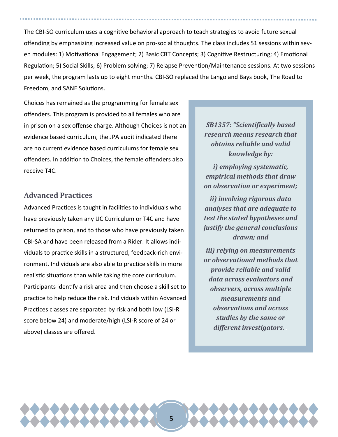The CBI-SO curriculum uses a cognitive behavioral approach to teach strategies to avoid future sexual offending by emphasizing increased value on pro-social thoughts. The class includes 51 sessions within seven modules: 1) Motivational Engagement; 2) Basic CBT Concepts; 3) Cognitive Restructuring; 4) Emotional Regulation; 5) Social Skills; 6) Problem solving; 7) Relapse Prevention/Maintenance sessions. At two sessions per week, the program lasts up to eight months. CBI-SO replaced the Lango and Bays book, The Road to Freedom, and SANE Solutions.

Choices has remained as the programming for female sex offenders. This program is provided to all females who are in prison on a sex offense charge. Although Choices is not an evidence based curriculum, the JPA audit indicated there are no current evidence based curriculums for female sex offenders. In addition to Choices, the female offenders also receive T4C.

#### **Advanced Practices**

Advanced Practices is taught in facilities to individuals who have previously taken any UC Curriculum or T4C and have returned to prison, and to those who have previously taken CBI-SA and have been released from a Rider. It allows individuals to practice skills in a structured, feedback-rich environment. Individuals are also able to practice skills in more realistic situations than while taking the core curriculum. Participants identify a risk area and then choose a skill set to practice to help reduce the risk. Individuals within Advanced Practices classes are separated by risk and both low (LSI-R score below 24) and moderate/high (LSI-R score of 24 or above) classes are offered.

*SB1357: "Scientiϔically based research means research that obtains reliable and valid knowledge by:* 

*i) employing systematic, empirical methods that draw on observation or experiment;* 

*ii) involving rigorous data analyses that are adequate to test the stated hypotheses and justify the general conclusions* drawn; and

*iii) relying on measurements or observational methods that provide reliable and valid data across evaluators and observers, across multiple measurements and observations and across studies by the same or different investigators...*

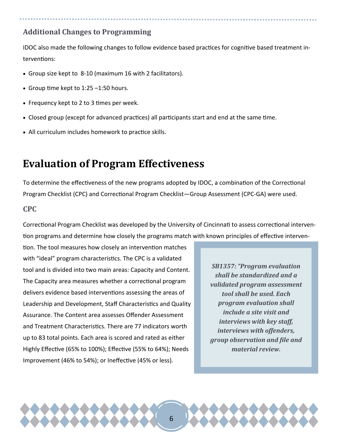#### **Additional Changes to Programming**

IDOC also made the following changes to follow evidence based practices for cognitive based treatment interventions:

- Group size kept to 8-10 (maximum 16 with 2 facilitators).
- Group time kept to  $1:25 1:50$  hours.
- Frequency kept to 2 to 3 times per week.
- Closed group (except for advanced practices) all participants start and end at the same time.
- All curriculum includes homework to practice skills.

### **Evaluation of Program Effectiveness**

To determine the effectiveness of the new programs adopted by IDOC, a combination of the Correctional Program Checklist (CPC) and Correctional Program Checklist—Group Assessment (CPC-GA) were used.

#### **CPC**

Correctional Program Checklist was developed by the University of Cincinnati to assess correctional intervention programs and determine how closely the programs match with known principles of effective interven-

tion. The tool measures how closely an intervention matches with "ideal" program characteristics. The CPC is a validated tool and is divided into two main areas: Capacity and Content. The Capacity area measures whether a correctional program delivers evidence based interventions assessing the areas of Leadership and Development, Staff Characteristics and Quality Assurance. The Content area assesses Offender Assessment and Treatment Characteristics. There are 77 indicators worth up to 83 total points. Each area is scored and rated as either Highly Effective (65% to 100%); Effective (55% to 64%); Needs Improvement (46% to 54%); or Ineffective (45% or less).

*SB1357: "Program evaluation shall be standardized and a validated program assessment tool shall be used. Each program evaluation shall include a site visit and interviews with key staff, interviews with offenders, group observation and ϔile and material review.*

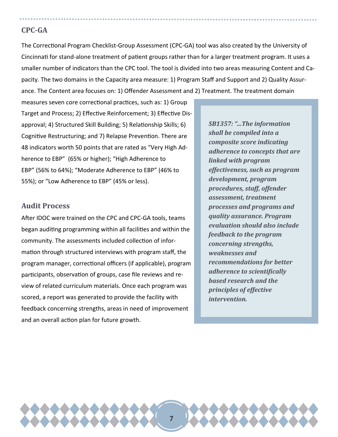#### **CPC‐GA**

The Correctional Program Checklist-Group Assessment (CPC-GA) tool was also created by the University of Cincinnati for stand-alone treatment of patient groups rather than for a larger treatment program. It uses a smaller number of indicators than the CPC tool. The tool is divided into two areas measuring Content and Capacity. The two domains in the Capacity area measure: 1) Program Staff and Support and 2) Quality Assurance. The Content area focuses on: 1) Offender Assessment and 2) Treatment. The treatment domain

measures seven core correctional practices, such as: 1) Group Target and Process; 2) Effective Reinforcement; 3) Effective Disapproval; 4) Structured Skill Building; 5) Relationship Skills; 6) Cognitive Restructuring; and 7) Relapse Prevention. There are 48 indicators worth 50 points that are rated as "Very High Adherence to EBP" (65% or higher); "High Adherence to EBP" (56% to 64%); "Moderate Adherence to EBP" (46% to 55%); or "Low Adherence to EBP" (45% or less).

#### **Audit Process**

After IDOC were trained on the CPC and CPC-GA tools, teams began auditing programming within all facilities and within the community. The assessments included collection of information through structured interviews with program staff, the program manager, correctional officers (if applicable), program participants, observation of groups, case file reviews and review of related curriculum materials. Once each program was scored, a report was generated to provide the facility with feedback concerning strengths, areas in need of improvement and an overall action plan for future growth.

*SB1357: "...The information shall be compiled into a composite score indicating adherence to concepts that are linked with program effectiveness, such as program development, program procedures, staff, offender assessment, treatment processes and programs and quality assurance. Program evaluation should also include feedback to the program concerning strengths, weaknesses and recommendations for better*  $a$ *dherence to scientifically based research and the principles of effective intervention.*

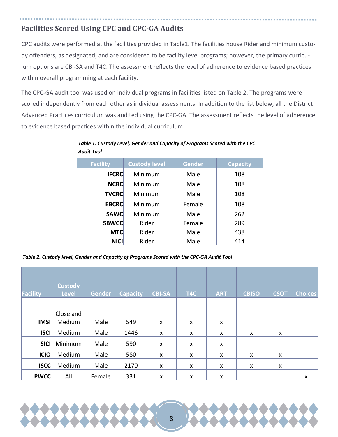### **Facilities Scored Using CPC and CPC‐GA Audits**

CPC audits were performed at the facilities provided in Table1. The facilities house Rider and minimum custody offenders, as designated, and are considered to be facility level programs; however, the primary curriculum options are CBI-SA and T4C. The assessment reflects the level of adherence to evidence based practices within overall programming at each facility.

The CPC-GA audit tool was used on individual programs in facilities listed on Table 2. The programs were scored independently from each other as individual assessments. In addition to the list below, all the District Advanced Practices curriculum was audited using the CPC-GA. The assessment reflects the level of adherence to evidence based practices within the individual curriculum.

| <b>Facility</b> | <b>Custody level</b> | <b>Gender</b> | <b>Capacity</b> |
|-----------------|----------------------|---------------|-----------------|
| <b>IFCRC</b>    | Minimum              | Male          | 108             |
| <b>NCRC</b>     | Male<br>Minimum      |               | 108             |
| <b>TVCRC</b>    | Minimum              | Male          | 108             |
| <b>EBCRC</b>    | Minimum              | Female        | 108             |
| <b>SAWC</b>     | Minimum              | Male          | 262             |
| <b>SBWCC</b>    | Rider                | Female        | 289             |
| <b>MTC</b>      | Rider                | Male          | 438             |
| <b>NICI</b>     | Rider                | Male          | 414             |

*Table 1. Custody Level, Gender and Capacity of Programs Scored with the CPC Audit Tool*

*Table 2. Custody level, Gender and Capacity of Programs Scored with the CPC‐GA Audit Tool*

| <b>Facility</b> | <b>Custody</b><br><b>Level</b> | Gender | <b>Capacity</b> | <b>CBI-SA</b> | T <sub>4</sub> C | <b>ART</b> | <b>CBISO</b> | <b>CSOT</b> | <b>Choices</b> |
|-----------------|--------------------------------|--------|-----------------|---------------|------------------|------------|--------------|-------------|----------------|
|                 |                                |        |                 |               |                  |            |              |             |                |
|                 | Close and                      |        |                 |               |                  |            |              |             |                |
| <b>IMSI</b>     | Medium                         | Male   | 549             | X             | X                | X          |              |             |                |
| <b>ISCI</b>     | Medium                         | Male   | 1446            | X             | X                | X          | X            | X           |                |
| <b>SICI</b>     | Minimum                        | Male   | 590             | X             | X                | X          |              |             |                |
| ICIO            | Medium                         | Male   | 580             | X             | X                | X          | X            | X           |                |
| <b>ISCC</b>     | Medium                         | Male   | 2170            | X             | X                | X          | X            | X           |                |
| <b>PWCC</b>     | All                            | Female | 331             | X             | X                | X          |              |             | X              |

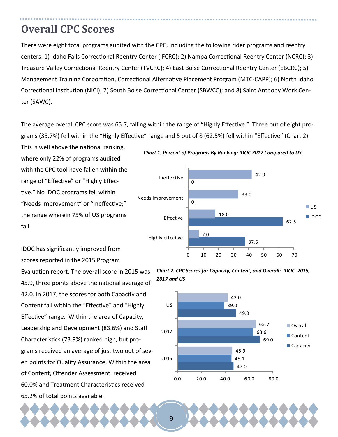### **Overall CPC Scores**

There were eight total programs audited with the CPC, including the following rider programs and reentry centers: 1) Idaho Falls Correctional Reentry Center (IFCRC); 2) Nampa Correctional Reentry Center (NCRC); 3) Treasure Valley Correctional Reentry Center (TVCRC); 4) East Boise Correctional Reentry Center (EBCRC); 5) Management Training Corporation, Correctional Alternative Placement Program (MTC-CAPP); 6) North Idaho Correctional Institution (NICI); 7) South Boise Correctional Center (SBWCC); and 8) Saint Anthony Work Center (SAWC).

The average overall CPC score was 65.7, falling within the range of "Highly Effective." Three out of eight programs (35.7%) fell within the "Highly Effective" range and 5 out of 8 (62.5%) fell within "Effective" (Chart 2).

This is well above the national ranking, where only 22% of programs audited with the CPC tool have fallen within the range of "Effective" or "Highly Effective." No IDOC programs fell within "Needs Improvement" or "Ineffective;" the range wherein 75% of US programs fall.

IDOC has significantly improved from scores reported in the 2015 Program Evaluation report. The overall score in 2015 was 45.9, three points above the national average of 42.0. In 2017, the scores for both Capacity and Content fall within the "Effective" and "Highly Effective" range. Within the area of Capacity, Leadership and Development (83.6%) and Staff CharacterisƟcs (73.9%) ranked high, but programs received an average of just two out of seven points for Quality Assurance. Within the area of Content, Offender Assessment received 60.0% and Treatment Characteristics received 65.2% of total points available.

#### *Chart 1. Percent of Programs By Ranking: IDOC 2017 Compared to US*



*Chart 2. CPC Scores for Capacity, Content, and Overall: IDOC 2015, 2017 and US*

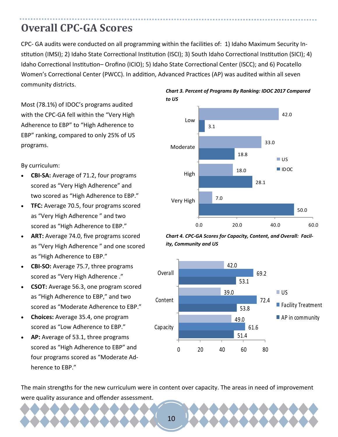### **Overall CPC‐GA Scores**

CPC- GA audits were conducted on all programming within the facilities of: 1) Idaho Maximum Security Institution (IMSI); 2) Idaho State Correctional Institution (ISCI); 3) South Idaho Correctional Institution (SICI); 4) Idaho Correctional Institution– Orofino (ICIO); 5) Idaho State Correctional Center (ISCC); and 6) Pocatello Women's Correctional Center (PWCC). In addition, Advanced Practices (AP) was audited within all seven community districts.

Most (78.1%) of IDOC's programs audited with the CPC-GA fell within the "Very High Adherence to EBP" to "High Adherence to EBP" ranking, compared to only 25% of US programs.

By curriculum:

- **CBI‐SA:** Average of 71.2, four programs scored as "Very High Adherence" and two scored as "High Adherence to EBP."
- **TFC:** Average 70.5, four programs scored as "Very High Adherence " and two scored as "High Adherence to EBP."
- **ART:** Average 74.0, five programs scored as "Very High Adherence " and one scored as "High Adherence to EBP."
- **CBI‐SO:** Average 75.7, three programs scored as "Very High Adherence ."
- **CSOT:** Average 56.3, one program scored as "High Adherence to EBP," and two scored as "Moderate Adherence to EBP."
- **Choices:** Average 35.4, one program scored as "Low Adherence to EBP."
- **AP:** Average of 53.1, three programs scored as "High Adherence to EBP" and four programs scored as "Moderate Adherence to EBP."









The main strengths for the new curriculum were in content over capacity. The areas in need of improvement were quality assurance and offender assessment.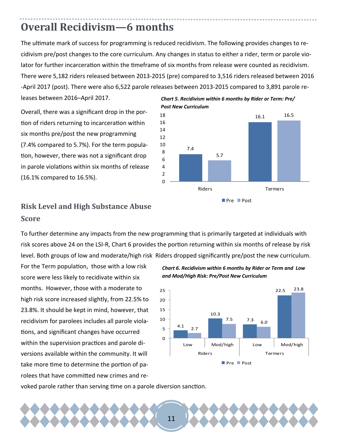### **Overall Recidivism—6** months

The ultimate mark of success for programming is reduced recidivism. The following provides changes to recidivism pre/post changes to the core curriculum. Any changes in status to either a rider, term or parole violator for further incarceration within the timeframe of six months from release were counted as recidivism. There were 5,182 riders released between 2013-2015 (pre) compared to 3,516 riders released between 2016 -April 2017 (post). There were also 6,522 parole releases between 2013-2015 compared to 3,891 parole re-

leases between 2016–April 2017.

Overall, there was a significant drop in the portion of riders returning to incarceration within six months pre/post the new programming (7.4% compared to 5.7%). For the term population, however, there was not a significant drop in parole violations within six months of release (16.1% compared to 16.5%).

### **Risk Level and High Substance Abuse Score**

To further determine any impacts from the new programming that is primarily targeted at individuals with risk scores above 24 on the LSI-R, Chart 6 provides the portion returning within six months of release by risk level. Both groups of low and moderate/high risk Riders dropped significantly pre/post the new curriculum.

For the Term population, those with a low risk score were less likely to recidivate within six months. However, those with a moderate to high risk score increased slightly, from 22.5% to 23.8%. It should be kept in mind, however, that recidivism for parolees includes all parole viola-Ɵons, and significant changes have occurred within the supervision practices and parole diversions available within the community. It will take more time to determine the portion of parolees that have committed new crimes and re-





voked parole rather than serving time on a parole diversion sanction.

*Chart 5. Recidivism within 6 months by Rider or Term: Pre/ Post New Curriculum*

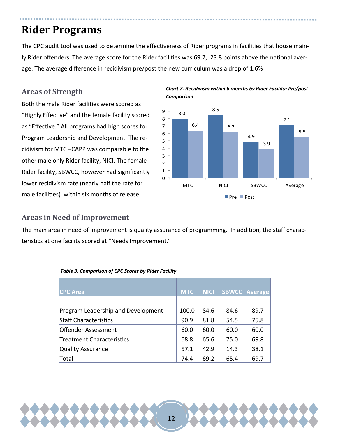### **Rider Programs**

The CPC audit tool was used to determine the effectiveness of Rider programs in facilities that house mainly Rider offenders. The average score for the Rider facilities was 69.7, 23.8 points above the national average. The average difference in recidivism pre/post the new curriculum was a drop of 1.6%

#### **Areas of Strength**

Both the male Rider facilities were scored as "Highly Effective" and the female facility scored as "Effective." All programs had high scores for Program Leadership and Development. The recidivism for MTC –CAPP was comparable to the other male only Rider facility, NICI. The female Rider facility, SBWCC, however had significantly lower recidivism rate (nearly half the rate for male facilities) within six months of release.



#### *Chart 7. Recidivism within 6 months by Rider Facility: Pre/post Comparison*

#### **Areas in Need of Improvement**

The main area in need of improvement is quality assurance of programming. In addition, the staff characteristics at one facility scored at "Needs Improvement."

| <b>CPC Area</b>                    | <b>MTC</b> | <b>NICI</b> |      | <b>SBWCC Average</b> |
|------------------------------------|------------|-------------|------|----------------------|
|                                    |            |             |      |                      |
| Program Leadership and Development | 100.0      | 84.6        | 84.6 | 89.7                 |
| <b>Staff Characteristics</b>       | 90.9       | 81.8        | 54.5 | 75.8                 |
| <b>Offender Assessment</b>         | 60.0       | 60.0        | 60.0 | 60.0                 |
| Treatment Characteristics          | 68.8       | 65.6        | 75.0 | 69.8                 |
| Quality Assurance                  | 57.1       | 42.9        | 14.3 | 38.1                 |
| Total                              | 74.4       | 69.2        | 65.4 | 69.7                 |

| Table 3. Comparison of CPC Scores by Rider Facility |  |  |
|-----------------------------------------------------|--|--|
|                                                     |  |  |

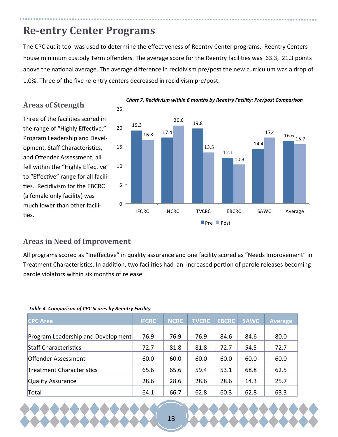### **Re‐entry Center Programs**

The CPC audit tool was used to determine the effectiveness of Reentry Center programs. Reentry Centers house minimum custody Term offenders. The average score for the Reentry facilities was 63.3, 21.3 points above the national average. The average difference in recidivism pre/post the new curriculum was a drop of 1.0%. Three of the five re-entry centers decreased in recidivism pre/post.

#### **Areas of Strength**

Three of the facilities scored in the range of "Highly Effective." Program Leadership and Development, Staff Characteristics, and Offender Assessment, all fell within the "Highly Effective" to "Effective" range for all facilities. Recidivism for the EBCRC (a female only facility) was much lower than other facilities.



#### *Chart 7. Recidivism within 6 months by Reentry Facility: Pre/post Comparison*

#### **Areas in Need of Improvement**

All programs scored as "Ineffective" in quality assurance and one facility scored as "Needs Improvement" in Treatment Characteristics. In addition, two facilities had an increased portion of parole releases becoming parole violators within six months of release.

#### *Table 4. Comparison of CPC Scores by Reentry Facility*

| <b>CPC Area</b>                    | <b>IFCRC</b> | <b>NCRC</b> | <b>TVCRC</b> | <b>EBCRC</b> | <b>SAWC</b> | <b>Average</b> |
|------------------------------------|--------------|-------------|--------------|--------------|-------------|----------------|
| Program Leadership and Development | 76.9         | 76.9        | 76.9         | 84.6         | 84.6        | 80.0           |
| <b>Staff Characteristics</b>       | 72.7         | 81.8        | 81.8         | 72.7         | 54.5        | 72.7           |
| Offender Assessment                | 60.0         | 60.0        | 60.0         | 60.0         | 60.0        | 60.0           |
| Treatment Characteristics          | 65.6         | 65.6        | 59.4         | 53.1         | 68.8        | 62.5           |
| Quality Assurance                  | 28.6         | 28.6        | 28.6         | 28.6         | 14.3        | 25.7           |
| Total                              | 64.1         | 66.7        | 62.8         | 60.3         | 62.8        | 63.3           |

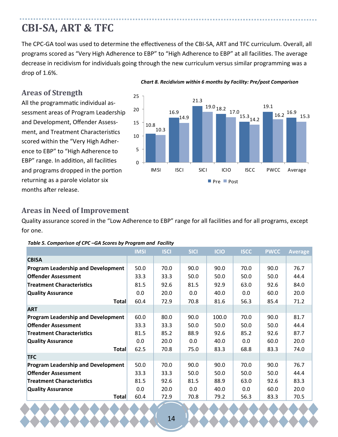### **CBI‐SA, ART & TFC**

The CPC-GA tool was used to determine the effectiveness of the CBI-SA, ART and TFC curriculum. Overall, all programs scored as "Very High Adherence to EBP" to "High Adherence to EBP" at all facilities. The average decrease in recidivism for individuals going through the new curriculum versus similar programming was a drop of 1.6%.

#### **Areas of Strength**

All the programmatic individual assessment areas of Program Leadership and Development, Offender Assessment, and Treatment Characteristics scored within the "Very High Adherence to EBP" to "High Adherence to EBP" range. In addition, all facilities and programs dropped in the portion returning as a parole violator six months after release.



#### *Chart 8. Recidivism within 6 months by Facility: Pre/post Comparison*

#### **Areas in Need of Improvement**

Quality assurance scored in the "Low Adherence to EBP" range for all facilities and for all programs, except for one.

|                                           | <b>IMSI</b> | <b>ISCI</b> | <b>SICI</b> | <b>ICIO</b> | <b>ISCC</b> | <b>PWCC</b> | <b>Average</b> |
|-------------------------------------------|-------------|-------------|-------------|-------------|-------------|-------------|----------------|
| <b>CBISA</b>                              |             |             |             |             |             |             |                |
| <b>Program Leadership and Development</b> | 50.0        | 70.0        | 90.0        | 90.0        | 70.0        | 90.0        | 76.7           |
| <b>Offender Assessment</b>                | 33.3        | 33.3        | 50.0        | 50.0        | 50.0        | 50.0        | 44.4           |
| <b>Treatment Characteristics</b>          | 81.5        | 92.6        | 81.5        | 92.9        | 63.0        | 92.6        | 84.0           |
| <b>Quality Assurance</b>                  | 0.0         | 20.0        | 0.0         | 40.0        | 0.0         | 60.0        | 20.0           |
| <b>Total</b>                              | 60.4        | 72.9        | 70.8        | 81.6        | 56.3        | 85.4        | 71.2           |
| <b>ART</b>                                |             |             |             |             |             |             |                |
| <b>Program Leadership and Development</b> | 60.0        | 80.0        | 90.0        | 100.0       | 70.0        | 90.0        | 81.7           |
| <b>Offender Assessment</b>                | 33.3        | 33.3        | 50.0        | 50.0        | 50.0        | 50.0        | 44.4           |
| <b>Treatment Characteristics</b>          | 81.5        | 85.2        | 88.9        | 92.6        | 85.2        | 92.6        | 87.7           |
| <b>Quality Assurance</b>                  | 0.0         | 20.0        | 0.0         | 40.0        | 0.0         | 60.0        | 20.0           |
| <b>Total</b>                              | 62.5        | 70.8        | 75.0        | 83.3        | 68.8        | 83.3        | 74.0           |
| <b>TFC</b>                                |             |             |             |             |             |             |                |
| <b>Program Leadership and Development</b> | 50.0        | 70.0        | 90.0        | 90.0        | 70.0        | 90.0        | 76.7           |
| <b>Offender Assessment</b>                | 33.3        | 33.3        | 50.0        | 50.0        | 50.0        | 50.0        | 44.4           |
| <b>Treatment Characteristics</b>          | 81.5        | 92.6        | 81.5        | 88.9        | 63.0        | 92.6        | 83.3           |
| <b>Quality Assurance</b>                  | 0.0         | 20.0        | 0.0         | 40.0        | 0.0         | 60.0        | 20.0           |
| <b>Total</b>                              | 60.4        | 72.9        | 70.8        | 79.2        | 56.3        | 83.3        | 70.5           |

*Table 5. Comparison of CPC –GA Scores by Program and Facility*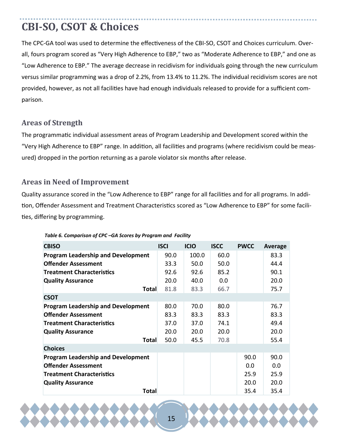## **CBI‐SO, CSOT & Choices**

The CPC-GA tool was used to determine the effectiveness of the CBI-SO, CSOT and Choices curriculum. Overall, fours program scored as "Very High Adherence to EBP," two as "Moderate Adherence to EBP," and one as "Low Adherence to EBP." The average decrease in recidivism for individuals going through the new curriculum versus similar programming was a drop of 2.2%, from 13.4% to 11.2%. The individual recidivism scores are not provided, however, as not all facilities have had enough individuals released to provide for a sufficient comparison.

#### **Areas of Strength**

The programmaƟc individual assessment areas of Program Leadership and Development scored within the "Very High Adherence to EBP" range. In addition, all facilities and programs (where recidivism could be measured) dropped in the portion returning as a parole violator six months after release.

#### **Areas in Need of Improvement**

Quality assurance scored in the "Low Adherence to EBP" range for all facilities and for all programs. In addition, Offender Assessment and Treatment Characteristics scored as "Low Adherence to EBP" for some facilities, differing by programming.

| <b>CBISO</b>                              | <b>ISCI</b> | <b>ICIO</b> | <b>ISCC</b> | <b>PWCC</b> | Average |
|-------------------------------------------|-------------|-------------|-------------|-------------|---------|
| <b>Program Leadership and Development</b> | 90.0        | 100.0       | 60.0        |             | 83.3    |
| <b>Offender Assessment</b>                | 33.3        | 50.0        | 50.0        |             | 44.4    |
| <b>Treatment Characteristics</b>          | 92.6        | 92.6        | 85.2        |             | 90.1    |
| <b>Quality Assurance</b>                  | 20.0        | 40.0        | 0.0         |             | 20.0    |
| Total                                     | 81.8        | 83.3        | 66.7        |             | 75.7    |
| <b>CSOT</b>                               |             |             |             |             |         |
| <b>Program Leadership and Development</b> | 80.0        | 70.0        | 80.0        |             | 76.7    |
| <b>Offender Assessment</b>                | 83.3        | 83.3        | 83.3        |             | 83.3    |
| <b>Treatment Characteristics</b>          | 37.0        | 37.0        | 74.1        |             | 49.4    |
| <b>Quality Assurance</b>                  | 20.0        | 20.0        | 20.0        |             | 20.0    |
| Total                                     | 50.0        | 45.5        | 70.8        |             | 55.4    |
| <b>Choices</b>                            |             |             |             |             |         |
| <b>Program Leadership and Development</b> |             |             |             | 90.0        | 90.0    |
| <b>Offender Assessment</b>                |             |             |             | 0.0         | 0.0     |
| <b>Treatment Characteristics</b>          |             |             |             | 25.9        | 25.9    |
| <b>Quality Assurance</b>                  |             |             |             | 20.0        | 20.0    |
| Total                                     |             |             |             | 35.4        | 35.4    |

*Table 6. Comparison of CPC –GA Scores by Program and Facility*

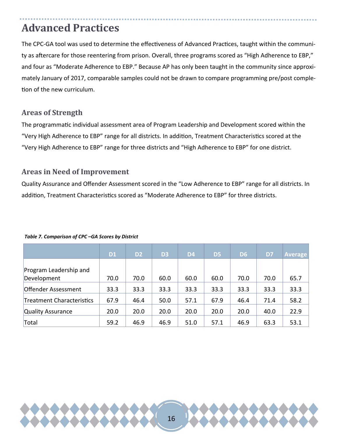### **Advanced Practices**

The CPC-GA tool was used to determine the effectiveness of Advanced Practices, taught within the community as aftercare for those reentering from prison. Overall, three programs scored as "High Adherence to EBP," and four as "Moderate Adherence to EBP." Because AP has only been taught in the community since approximately January of 2017, comparable samples could not be drawn to compare programming pre/post completion of the new curriculum.

#### **Areas of Strength**

The programmaƟc individual assessment area of Program Leadership and Development scored within the "Very High Adherence to EBP" range for all districts. In addition, Treatment Characteristics scored at the "Very High Adherence to EBP" range for three districts and "High Adherence to EBP" for one district.

#### **Areas in Need of Improvement**

Quality Assurance and Offender Assessment scored in the "Low Adherence to EBP" range for all districts. In addition, Treatment Characteristics scored as "Moderate Adherence to EBP" for three districts.

|                            | <b>D1</b> | D <sub>2</sub> | D <sub>3</sub> | D <sub>4</sub> | D <sub>5</sub> | D <sub>6</sub> | D7   | <b>Average</b> |
|----------------------------|-----------|----------------|----------------|----------------|----------------|----------------|------|----------------|
|                            |           |                |                |                |                |                |      |                |
| Program Leadership and     |           |                |                |                |                |                |      |                |
| Development                | 70.0      | 70.0           | 60.0           | 60.0           | 60.0           | 70.0           | 70.0 | 65.7           |
| <b>Offender Assessment</b> | 33.3      | 33.3           | 33.3           | 33.3           | 33.3           | 33.3           | 33.3 | 33.3           |
| Treatment Characteristics  | 67.9      | 46.4           | 50.0           | 57.1           | 67.9           | 46.4           | 71.4 | 58.2           |
| Quality Assurance          | 20.0      | 20.0           | 20.0           | 20.0           | 20.0           | 20.0           | 40.0 | 22.9           |
| Total                      | 59.2      | 46.9           | 46.9           | 51.0           | 57.1           | 46.9           | 63.3 | 53.1           |

#### *Table 7. Comparison of CPC –GA Scores by District*

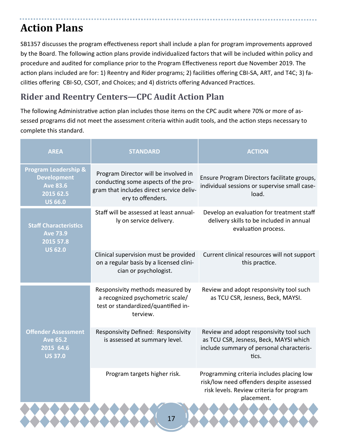### **Action Plans**

SB1357 discusses the program effectiveness report shall include a plan for program improvements approved by the Board. The following action plans provide individualized factors that will be included within policy and procedure and audited for compliance prior to the Program Effectiveness report due November 2019. The action plans included are for: 1) Reentry and Rider programs; 2) facilities offering CBI-SA, ART, and T4C; 3) facilities offering CBI-SO, CSOT, and Choices; and 4) districts offering Advanced Practices.

### **Rider and Reentry Centers—CPC Audit Action Plan**

The following Administrative action plan includes those items on the CPC audit where 70% or more of assessed programs did not meet the assessment criteria within audit tools, and the action steps necessary to complete this standard.

| <b>AREA</b>                                                                                             | <b>STANDARD</b>                                                                                                                              | <b>ACTION</b>                                                                                                                                   |
|---------------------------------------------------------------------------------------------------------|----------------------------------------------------------------------------------------------------------------------------------------------|-------------------------------------------------------------------------------------------------------------------------------------------------|
| <b>Program Leadership &amp;</b><br><b>Development</b><br><b>Ave 83.6</b><br>2015 62.5<br><b>US 66.0</b> | Program Director will be involved in<br>conducting some aspects of the pro-<br>gram that includes direct service deliv-<br>ery to offenders. | Ensure Program Directors facilitate groups,<br>individual sessions or supervise small case-<br>load.                                            |
| <b>Staff Characteristics</b><br><b>Ave 73.9</b><br>2015 57.8                                            | Staff will be assessed at least annual-<br>ly on service delivery.                                                                           | Develop an evaluation for treatment staff<br>delivery skills to be included in annual<br>evaluation process.                                    |
| <b>US 62.0</b>                                                                                          | Clinical supervision must be provided<br>on a regular basis by a licensed clini-<br>cian or psychologist.                                    | Current clinical resources will not support<br>this practice.                                                                                   |
|                                                                                                         | Responsivity methods measured by<br>a recognized psychometric scale/<br>test or standardized/quantified in-<br>terview.                      | Review and adopt responsivity tool such<br>as TCU CSR, Jesness, Beck, MAYSI.                                                                    |
| <b>Offender Assessment</b><br><b>Ave 65.2</b><br>2015 64.6<br><b>US 37.0</b>                            | Responsivity Defined: Responsivity<br>is assessed at summary level.                                                                          | Review and adopt responsivity tool such<br>as TCU CSR, Jesness, Beck, MAYSI which<br>include summary of personal characteris-<br>tics.          |
|                                                                                                         | Program targets higher risk.                                                                                                                 | Programming criteria includes placing low<br>risk/low need offenders despite assessed<br>risk levels. Review criteria for program<br>placement. |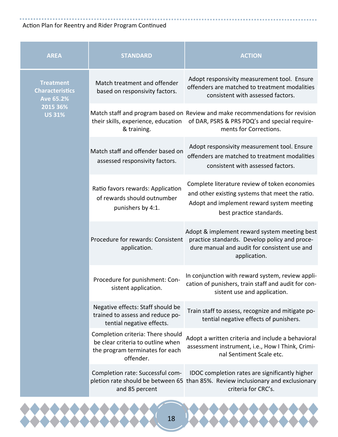#### Action Plan for Reentry and Rider Program Continued

| <b>AREA</b>                                                    | <b>STANDARD</b>                                                                                                        | <b>ACTION</b>                                                                                                                                                             |
|----------------------------------------------------------------|------------------------------------------------------------------------------------------------------------------------|---------------------------------------------------------------------------------------------------------------------------------------------------------------------------|
| <b>Treatment</b><br><b>Characteristics</b><br><b>Ave 65.2%</b> | Match treatment and offender<br>based on responsivity factors.                                                         | Adopt responsivity measurement tool. Ensure<br>offenders are matched to treatment modalities<br>consistent with assessed factors.                                         |
| 2015 36%<br><b>US 31%</b>                                      | their skills, experience, education<br>& training.                                                                     | Match staff and program based on Review and make recommendations for revision<br>of DAR, PSRS & PRS PDQ's and special require-<br>ments for Corrections.                  |
|                                                                | Match staff and offender based on<br>assessed responsivity factors.                                                    | Adopt responsivity measurement tool. Ensure<br>offenders are matched to treatment modalities<br>consistent with assessed factors.                                         |
|                                                                | Ratio favors rewards: Application<br>of rewards should outnumber<br>punishers by 4:1.                                  | Complete literature review of token economies<br>and other existing systems that meet the ratio.<br>Adopt and implement reward system meeting<br>best practice standards. |
|                                                                | Procedure for rewards: Consistent<br>application.                                                                      | Adopt & implement reward system meeting best<br>practice standards. Develop policy and proce-<br>dure manual and audit for consistent use and<br>application.             |
|                                                                | Procedure for punishment: Con-<br>sistent application.                                                                 | In conjunction with reward system, review appli-<br>cation of punishers, train staff and audit for con-<br>sistent use and application.                                   |
|                                                                | Negative effects: Staff should be<br>trained to assess and reduce po-<br>tential negative effects.                     | Train staff to assess, recognize and mitigate po-<br>tential negative effects of punishers.                                                                               |
|                                                                | Completion criteria: There should<br>be clear criteria to outline when<br>the program terminates for each<br>offender. | Adopt a written criteria and include a behavioral<br>assessment instrument, i.e., How I Think, Crimi-<br>nal Sentiment Scale etc.                                         |
|                                                                | Completion rate: Successful com-<br>and 85 percent                                                                     | IDOC completion rates are significantly higher<br>pletion rate should be between 65 than 85%. Review inclusionary and exclusionary<br>criteria for CRC's.                 |

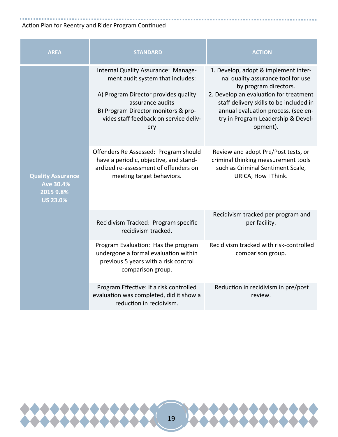#### Action Plan for Reentry and Rider Program Continued

| <b>AREA</b>                                                                  | <b>STANDARD</b>                                                                                                                                                                                                             | <b>ACTION</b>                                                                                                                                                                                                                                                                     |
|------------------------------------------------------------------------------|-----------------------------------------------------------------------------------------------------------------------------------------------------------------------------------------------------------------------------|-----------------------------------------------------------------------------------------------------------------------------------------------------------------------------------------------------------------------------------------------------------------------------------|
| <b>Quality Assurance</b><br><b>Ave 30.4%</b><br>2015 9.8%<br><b>US 23.0%</b> | Internal Quality Assurance: Manage-<br>ment audit system that includes:<br>A) Program Director provides quality<br>assurance audits<br>B) Program Director monitors & pro-<br>vides staff feedback on service deliv-<br>ery | 1. Develop, adopt & implement inter-<br>nal quality assurance tool for use<br>by program directors.<br>2. Develop an evaluation for treatment<br>staff delivery skills to be included in<br>annual evaluation process. (see en-<br>try in Program Leadership & Devel-<br>opment). |
|                                                                              | Offenders Re Assessed: Program should<br>have a periodic, objective, and stand-<br>ardized re-assessment of offenders on<br>meeting target behaviors.                                                                       | Review and adopt Pre/Post tests, or<br>criminal thinking measurement tools<br>such as Criminal Sentiment Scale,<br>URICA, How I Think.                                                                                                                                            |
|                                                                              | Recidivism Tracked: Program specific<br>recidivism tracked.                                                                                                                                                                 | Recidivism tracked per program and<br>per facility.                                                                                                                                                                                                                               |
|                                                                              | Program Evaluation: Has the program<br>undergone a formal evaluation within<br>previous 5 years with a risk control<br>comparison group.                                                                                    | Recidivism tracked with risk-controlled<br>comparison group.                                                                                                                                                                                                                      |
|                                                                              | Program Effective: If a risk controlled<br>evaluation was completed, did it show a<br>reduction in recidivism.                                                                                                              | Reduction in recidivism in pre/post<br>review.                                                                                                                                                                                                                                    |

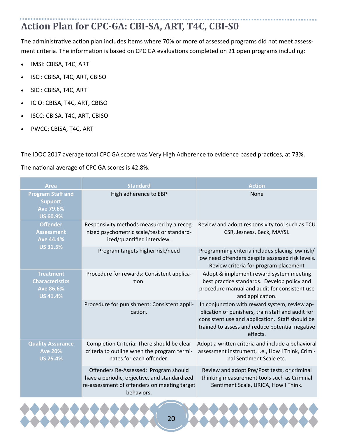## **Action Plan for CPC‐GA: CBI‐SA, ART, T4C, CBI‐S0**

The administrative action plan includes items where 70% or more of assessed programs did not meet assessment criteria. The information is based on CPC GA evaluations completed on 21 open programs including:

- IMSI: CBISA, T4C, ART
- ISCI: CBISA, T4C, ART, CBISO
- SICI: CBISA, T4C, ART
- ICIO: CBISA, T4C, ART, CBISO
- ISCC: CBISA, T4C, ART, CBISO
- PWCC: CBISA, T4C, ART

The IDOC 2017 average total CPC GA score was Very High Adherence to evidence based practices, at 73%.

The national average of CPC GA scores is 42.8%.

| <b>Area</b>                                                                       | <b>Standard</b>                                                                                                                                     | <b>Action</b>                                                                                                                                                                                                        |
|-----------------------------------------------------------------------------------|-----------------------------------------------------------------------------------------------------------------------------------------------------|----------------------------------------------------------------------------------------------------------------------------------------------------------------------------------------------------------------------|
| <b>Program Staff and</b><br><b>Support</b><br><b>Ave 79.6%</b><br><b>US 60.9%</b> | High adherence to EBP                                                                                                                               | None                                                                                                                                                                                                                 |
| <b>Offender</b><br><b>Assessment</b><br><b>Ave 44.4%</b>                          | Responsivity methods measured by a recog-<br>nized psychometric scale/test or standard-<br>ized/quantified interview.                               | Review and adopt responsivity tool such as TCU<br>CSR, Jesness, Beck, MAYSI.                                                                                                                                         |
| <b>US 31.5%</b>                                                                   | Program targets higher risk/need                                                                                                                    | Programming criteria includes placing low risk/<br>low need offenders despite assessed risk levels.<br>Review criteria for program placement                                                                         |
| <b>Treatment</b><br><b>Characteristics</b><br>Ave 86.6%<br><b>US 41.4%</b>        | Procedure for rewards: Consistent applica-<br>tion.                                                                                                 | Adopt & implement reward system meeting<br>best practice standards. Develop policy and<br>procedure manual and audit for consistent use<br>and application.                                                          |
|                                                                                   | Procedure for punishment: Consistent appli-<br>cation.                                                                                              | In conjunction with reward system, review ap-<br>plication of punishers, train staff and audit for<br>consistent use and application. Staff should be<br>trained to assess and reduce potential negative<br>effects. |
| <b>Quality Assurance</b><br><b>Ave 20%</b><br><b>US 25.4%</b>                     | Completion Criteria: There should be clear<br>criteria to outline when the program termi-<br>nates for each offender.                               | Adopt a written criteria and include a behavioral<br>assessment instrument, i.e., How I Think, Crimi-<br>nal Sentiment Scale etc.                                                                                    |
|                                                                                   | Offenders Re-Assessed: Program should<br>have a periodic, objective, and standardized<br>re-assessment of offenders on meeting target<br>behaviors. | Review and adopt Pre/Post tests, or criminal<br>thinking measurement tools such as Criminal<br>Sentiment Scale, URICA, How I Think.                                                                                  |

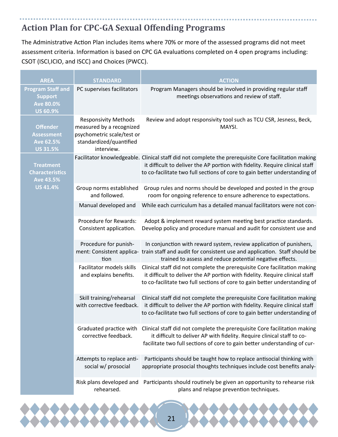### **Action Plan for CPC‐GA Sexual Offending Programs**

The Administrative Action Plan includes items where 70% or more of the assessed programs did not meet assessment criteria. Information is based on CPC GA evaluations completed on 4 open programs including: CSOT (ISCI,ICIO, and ISCC) and Choices (PWCC).

| <b>AREA</b>                                                                       | <b>STANDARD</b>                                                                                                                | <b>ACTION</b>                                                                                                                                                                                                                                                      |
|-----------------------------------------------------------------------------------|--------------------------------------------------------------------------------------------------------------------------------|--------------------------------------------------------------------------------------------------------------------------------------------------------------------------------------------------------------------------------------------------------------------|
| <b>Program Staff and</b><br><b>Support</b><br><b>Ave 80.0%</b><br><b>US 60.9%</b> | PC supervises facilitators                                                                                                     | Program Managers should be involved in providing regular staff<br>meetings observations and review of staff.                                                                                                                                                       |
| <b>Offender</b><br><b>Assessment</b><br><b>Ave 62.5%</b><br><b>US 31.5%</b>       | <b>Responsivity Methods</b><br>measured by a recognized<br>psychometric scale/test or<br>standardized/quantified<br>interview. | Review and adopt responsivity tool such as TCU CSR, Jesness, Beck,<br>MAYSI.                                                                                                                                                                                       |
| <b>Treatment</b><br><b>Characteristics</b><br><b>Ave 43.5%</b><br><b>US 41.4%</b> |                                                                                                                                | Facilitator knowledgeable. Clinical staff did not complete the prerequisite Core facilitation making<br>it difficult to deliver the AP portion with fidelity. Require clinical staff<br>to co-facilitate two full sections of core to gain better understanding of |
|                                                                                   | Group norms established<br>and followed.                                                                                       | Group rules and norms should be developed and posted in the group<br>room for ongoing reference to ensure adherence to expectations.                                                                                                                               |
|                                                                                   | Manual developed and                                                                                                           | While each curriculum has a detailed manual facilitators were not con-                                                                                                                                                                                             |
|                                                                                   | Procedure for Rewards:<br>Consistent application.                                                                              | Adopt & implement reward system meeting best practice standards.<br>Develop policy and procedure manual and audit for consistent use and                                                                                                                           |
|                                                                                   | Procedure for punish-<br>tion                                                                                                  | In conjunction with reward system, review application of punishers,<br>ment: Consistent applica- train staff and audit for consistent use and application. Staff should be<br>trained to assess and reduce potential negative effects.                             |
|                                                                                   | Facilitator models skills<br>and explains benefits.                                                                            | Clinical staff did not complete the prerequisite Core facilitation making<br>it difficult to deliver the AP portion with fidelity. Require clinical staff<br>to co-facilitate two full sections of core to gain better understanding of                            |
|                                                                                   | Skill training/rehearsal<br>with corrective feedback.                                                                          | Clinical staff did not complete the prerequisite Core facilitation making<br>it difficult to deliver the AP portion with fidelity. Require clinical staff<br>to co-facilitate two full sections of core to gain better understanding of                            |
|                                                                                   | Graduated practice with<br>corrective feedback.                                                                                | Clinical staff did not complete the prerequisite Core facilitation making<br>it difficult to deliver AP with fidelity. Require clinical staff to co-<br>facilitate two full sections of core to gain better understanding of cur-                                  |
|                                                                                   | Attempts to replace anti-<br>social w/ prosocial                                                                               | Participants should be taught how to replace antisocial thinking with<br>appropriate prosocial thoughts techniques include cost benefits analy-                                                                                                                    |
|                                                                                   | Risk plans developed and<br>rehearsed.                                                                                         | Participants should routinely be given an opportunity to rehearse risk<br>plans and relapse prevention techniques.                                                                                                                                                 |

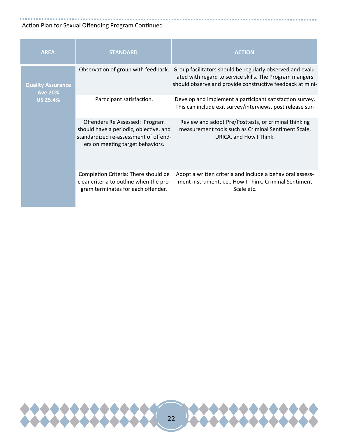### Action Plan for Sexual Offending Program Continued

| <b>AREA</b>                                                   | <b>STANDARD</b>                                                                                                                                       | <b>ACTION</b>                                                                                                                                                                      |
|---------------------------------------------------------------|-------------------------------------------------------------------------------------------------------------------------------------------------------|------------------------------------------------------------------------------------------------------------------------------------------------------------------------------------|
| <b>Quality Assurance</b><br><b>Ave 20%</b><br><b>US 25.4%</b> | Observation of group with feedback.                                                                                                                   | Group facilitators should be regularly observed and evalu-<br>ated with regard to service skills. The Program mangers<br>should observe and provide constructive feedback at mini- |
|                                                               | Participant satisfaction.                                                                                                                             | Develop and implement a participant satisfaction survey.<br>This can include exit survey/interviews, post release sur-                                                             |
|                                                               | Offenders Re Assessed: Program<br>should have a periodic, objective, and<br>standardized re-assessment of offend-<br>ers on meeting target behaviors. | Review and adopt Pre/Posttests, or criminal thinking<br>measurement tools such as Criminal Sentiment Scale,<br>URICA, and How I Think.                                             |
|                                                               | Completion Criteria: There should be<br>clear criteria to outline when the pro-<br>gram terminates for each offender.                                 | Adopt a written criteria and include a behavioral assess-<br>ment instrument, i.e., How I Think, Criminal Sentiment<br>Scale etc.                                                  |

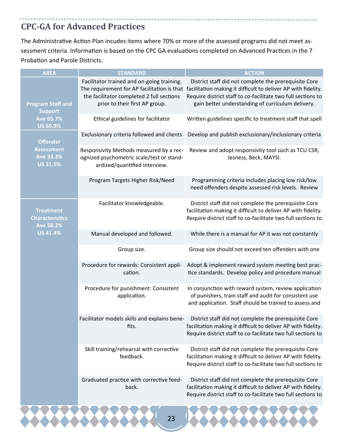### **CPC‐GA for Advanced Practices**

The Administrative Action Plan incudes items where 70% or more of the assessed programs did not meet assessment criteria. Information is based on the CPC GA evaluations completed on Advanced Practices in the 7 Probation and Parole Districts.

| <b>AREA</b>                                                                       | <b>STANDARD</b>                                                                                                                                                          | <b>ACTION</b>                                                                                                                                                                                                                               |
|-----------------------------------------------------------------------------------|--------------------------------------------------------------------------------------------------------------------------------------------------------------------------|---------------------------------------------------------------------------------------------------------------------------------------------------------------------------------------------------------------------------------------------|
| <b>Program Staff and</b><br><b>Support</b><br><b>Ave 65.7%</b><br><b>US 60.9%</b> | Facilitator trained and on-going training.<br>The requirement for AP facilitation is that<br>the facilitator completed 2 full sections<br>prior to their first AP group. | District staff did not complete the prerequisite Core<br>facilitation making it difficult to deliver AP with fidelity.<br>Require district staff to co-facilitate two full sections to<br>gain better understanding of curriculum delivery. |
|                                                                                   | Ethical guidelines for facilitator                                                                                                                                       | Written guidelines specific to treatment staff that spell                                                                                                                                                                                   |
| <b>Offender</b><br><b>Assessment</b><br>Ave 33.3%<br><b>US 31.5%</b>              | Exclusionary criteria followed and clients                                                                                                                               | Develop and publish exclusionary/inclusionary criteria                                                                                                                                                                                      |
|                                                                                   | Responsivity Methods measured by a rec-<br>ognized psychometric scale/test or stand-<br>ardized/quantified interview.                                                    | Review and adopt responsivity tool such as TCU CSR,<br>Jesness, Beck, MAYSI.                                                                                                                                                                |
|                                                                                   | Program Targets Higher Risk/Need                                                                                                                                         | Programming criteria includes placing low risk/low<br>need offenders despite assessed risk levels. Review                                                                                                                                   |
| <b>Treatment</b><br><b>Characteristics</b><br><b>Ave 58.2%</b><br><b>US 41.4%</b> | Facilitator knowledgeable.                                                                                                                                               | District staff did not complete the prerequisite Core<br>facilitation making it difficult to deliver AP with fidelity.<br>Require district staff to co-facilitate two full sections to                                                      |
|                                                                                   | Manual developed and followed.                                                                                                                                           | While there is a manual for AP it was not constantly                                                                                                                                                                                        |
|                                                                                   | Group size.                                                                                                                                                              | Group size should not exceed ten offenders with one                                                                                                                                                                                         |
|                                                                                   | Procedure for rewards: Consistent appli-<br>cation.                                                                                                                      | Adopt & implement reward system meeting best prac-<br>tice standards. Develop policy and procedure manual                                                                                                                                   |
|                                                                                   | Procedure for punishment: Consistent<br>application.                                                                                                                     | In conjunction with reward system, review application<br>of punishers, train staff and audit for consistent use<br>and application. Staff should be trained to assess and                                                                   |
|                                                                                   | Facilitator models skills and explains bene-<br>fits.                                                                                                                    | District staff did not complete the prerequisite Core<br>facilitation making it difficult to deliver AP with fidelity.<br>Require district staff to co-facilitate two full sections to                                                      |
|                                                                                   | Skill training/rehearsal with corrective<br>feedback.                                                                                                                    | District staff did not complete the prerequisite Core<br>facilitation making it difficult to deliver AP with fidelity.<br>Require district staff to co-facilitate two full sections to                                                      |
|                                                                                   | Graduated practice with corrective feed-<br>back.                                                                                                                        | District staff did not complete the prerequisite Core<br>facilitation making it difficult to deliver AP with fidelity.<br>Require district staff to co-facilitate two full sections to                                                      |
|                                                                                   |                                                                                                                                                                          |                                                                                                                                                                                                                                             |